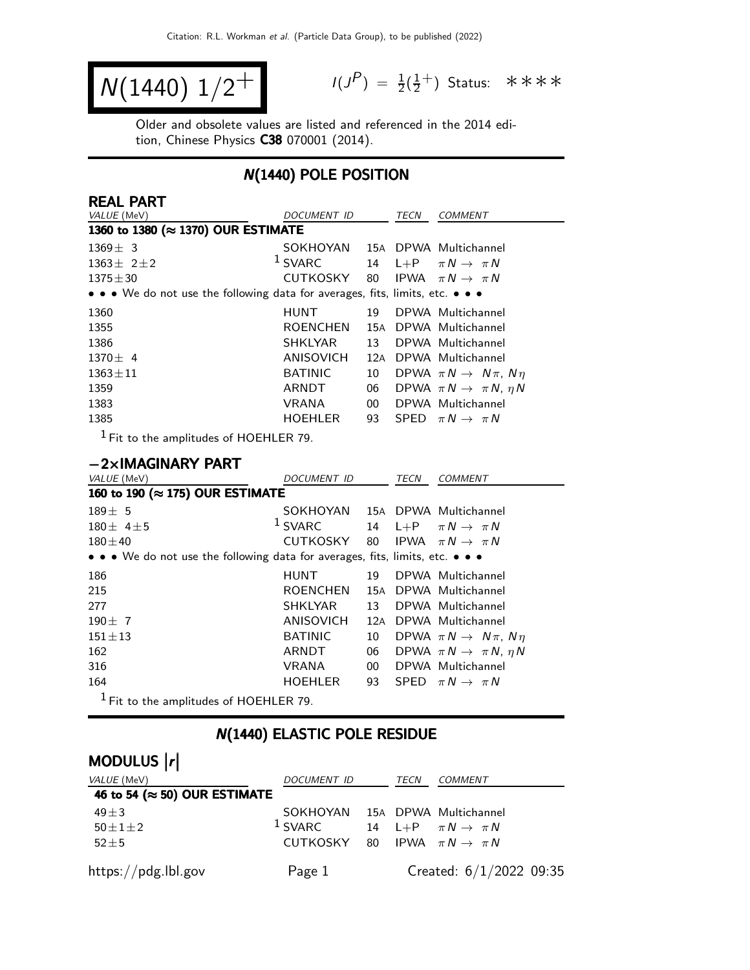$$
N(1440) 1/2^+
$$

 $P$ ) =  $\frac{1}{2}(\frac{1}{2})$  $\frac{1}{2}^+$ ) Status: \*\*\*\*

Older and obsolete values are listed and referenced in the 2014 edition, Chinese Physics C38 070001 (2014).

### N(1440) POLE POSITION

| <b>REAL PART</b>                                                              |                  |        |             |                                           |
|-------------------------------------------------------------------------------|------------------|--------|-------------|-------------------------------------------|
| VALUE (MeV)                                                                   | DOCUMENT ID      |        | TECN        | COMMENT                                   |
| 1360 to 1380 (≈ 1370) OUR ESTIMATE                                            |                  |        |             |                                           |
| $1369 \pm 3$                                                                  | SOKHOYAN         |        |             | 15A DPWA Multichannel                     |
| $1363 \pm 21 \pm 2$                                                           | $1$ SVARC        | 14     | $L + P$     | $\pi N \rightarrow \pi N$                 |
| $1375 \pm 30$                                                                 | CUTKOSKY         | 80     | <b>IPWA</b> | $\pi N \rightarrow \pi N$                 |
| • • • We do not use the following data for averages, fits, limits, etc. • • • |                  |        |             |                                           |
| 1360                                                                          | <b>HUNT</b>      | 19     |             | DPWA Multichannel                         |
| 1355                                                                          | <b>ROENCHEN</b>  | 15A    |             | DPWA Multichannel                         |
| 1386                                                                          | <b>SHKLYAR</b>   | 13     |             | DPWA Multichannel                         |
| $1370 \pm 4$                                                                  | ANISOVICH        |        |             | 12A DPWA Multichannel                     |
| $1363 \pm 11$                                                                 | <b>BATINIC</b>   | 10     |             | DPWA $\pi N \rightarrow N \pi$ , $N \eta$ |
| 1359                                                                          | ARNDT            | 06     |             | DPWA $\pi N \rightarrow \pi N$ , $\eta N$ |
| 1383                                                                          | <b>VRANA</b>     | $00\,$ |             | DPWA Multichannel                         |
| 1385                                                                          | HOEHLER          | 93     | <b>SPED</b> | $\pi N \rightarrow \pi N$                 |
| $1$ Fit to the amplitudes of HOEHLER 79.                                      |                  |        |             |                                           |
|                                                                               |                  |        |             |                                           |
| $-2\times$ IMAGINARY PART                                                     |                  |        |             |                                           |
| VALUE (MeV)                                                                   | DOCUMENT ID      |        | <b>TECN</b> | <b>COMMENT</b>                            |
| 160 to 190 (≈ 175) OUR ESTIMATE                                               |                  |        |             |                                           |
| $189 \pm 5$                                                                   | SOKHOYAN         |        |             | 15A DPWA Multichannel                     |
| $180 \pm 4 \pm 5$                                                             | $1$ SVARC        | 14     | $L + P$     | $\pi N \rightarrow \pi N$                 |
| $180 + 40$                                                                    | <b>CUTKOSKY</b>  | 80     | <b>IPWA</b> | $\pi N \rightarrow \pi N$                 |
| • • • We do not use the following data for averages, fits, limits, etc. • • • |                  |        |             |                                           |
| 186                                                                           | <b>HUNT</b>      | 19     |             | DPWA Multichannel                         |
| 215                                                                           | <b>ROENCHEN</b>  |        |             | 15A DPWA Multichannel                     |
| 277                                                                           | <b>SHKLYAR</b>   | 13     |             | DPWA Multichannel                         |
| $190 \pm 7$                                                                   | <b>ANISOVICH</b> | 12A    |             | DPWA Multichannel                         |
| $151 \pm 13$                                                                  | <b>BATINIC</b>   | 10     |             | DPWA $\pi N \rightarrow N \pi$ , $N \eta$ |
| 162                                                                           | <b>ARNDT</b>     | 06     |             | DPWA $\pi N \rightarrow \pi N$ , $\eta N$ |
| 316                                                                           | <b>VRANA</b>     | $00\,$ |             | DPWA Multichannel                         |
| 164                                                                           |                  |        |             |                                           |
|                                                                               | <b>HOEHLER</b>   | 93     |             | SPED $\pi N \rightarrow \pi N$            |

## N(1440) ELASTIC POLE RESIDUE

## MODULUS  $\vert r \vert$

| <i>VALUE</i> (MeV)                    | DOCUMENT ID                                | TECN | <i>COMMENT</i>                   |
|---------------------------------------|--------------------------------------------|------|----------------------------------|
| 46 to 54 ( $\approx$ 50) OUR ESTIMATE |                                            |      |                                  |
| $49 \pm 3$                            | SOKHOYAN 15A DPWA Multichannel             |      |                                  |
| $50 \pm 1 \pm 2$                      | $1$ SVARC                                  |      | 14 L+P $\pi N \rightarrow \pi N$ |
| $52 + 5$                              | CUTKOSKY 80 IPWA $\pi N \rightarrow \pi N$ |      |                                  |
| $\frac{https://pdg.1b1.gov}{%$        | Page 1                                     |      | Created: $6/1/2022$ 09:35        |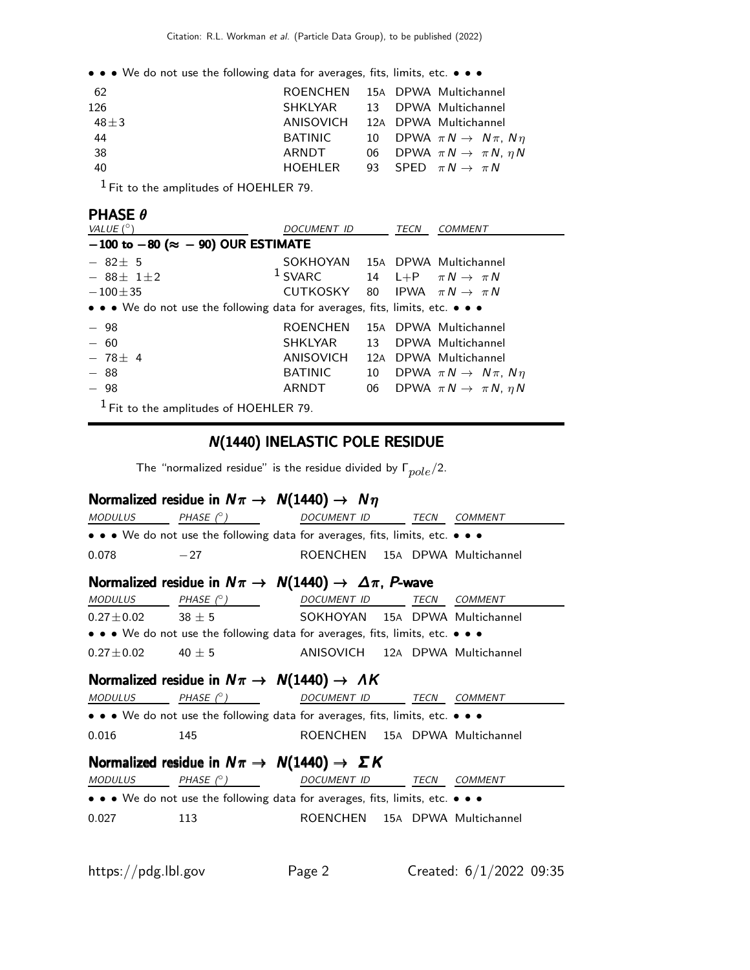• • • We do not use the following data for averages, fits, limits, etc. • • •

| - 62       |         | ROENCHEN 15A DPWA Multichannel               |
|------------|---------|----------------------------------------------|
| 126        |         | SHKLYAR 13 DPWA Multichannel                 |
| 48 $\pm$ 3 |         | ANISOVICH 12A DPWA Multichannel              |
| 44         | BATINIC | 10 DPWA $\pi N \rightarrow N \pi$ , $N \eta$ |
| -38        | ARNDT   | 06 DPWA $\pi N \rightarrow \pi N$ , $\eta N$ |
| 40         | HOEHLER | 93 SPED $\pi N \rightarrow \pi N$            |
|            |         |                                              |

1 Fit to the amplitudes of HOEHLER 79.

#### PHASE θ

| VALUE $(^\circ)$                                                              | DOCUMENT ID                                |    | TECN | <b>COMMENT</b>                            |
|-------------------------------------------------------------------------------|--------------------------------------------|----|------|-------------------------------------------|
| $-100$ to $-80$ ( $\approx -90$ ) OUR ESTIMATE                                |                                            |    |      |                                           |
| $-82\pm 5$                                                                    | SOKHOYAN 15A DPWA Multichannel             |    |      |                                           |
| $-88+1+2$                                                                     | <sup>1</sup> SVARC                         |    |      | 14 L+P $\pi N \rightarrow \pi N$          |
| $-100\pm35$                                                                   | CUTKOSKY 80 IPWA $\pi N \rightarrow \pi N$ |    |      |                                           |
| • • • We do not use the following data for averages, fits, limits, etc. • • • |                                            |    |      |                                           |
| $-98$                                                                         | <b>ROENCHEN</b>                            |    |      | 15A DPWA Multichannel                     |
| $-60$                                                                         | <b>SHKLYAR</b>                             | 13 |      | DPWA Multichannel                         |
| $-78 + 4$                                                                     | <b>ANISOVICH</b>                           |    |      | 12A DPWA Multichannel                     |
| - 88                                                                          | <b>BATINIC</b>                             | 10 |      | DPWA $\pi N \rightarrow N \pi$ , $N \eta$ |
| $-98$                                                                         | ARNDT                                      | 06 |      | DPWA $\pi N \rightarrow \pi N$ , $\eta N$ |
| $1$ Fit to the amplitudes of HOEHLER 79.                                      |                                            |    |      |                                           |

## N(1440) INELASTIC POLE RESIDUE

The "normalized residue" is the residue divided by  $\Gamma_{pole}/2$ .

# Normalized residue in  $N\pi \rightarrow N(1440) \rightarrow N\eta$ <br>MODULUS

| <b>MODULUS</b>  | PHASE $(^\circ)$                                                                 | DOCUMENT ID                     | TECN | COMMENT        |
|-----------------|----------------------------------------------------------------------------------|---------------------------------|------|----------------|
|                 | • • • We do not use the following data for averages, fits, limits, etc. • • •    |                                 |      |                |
| 0.078           | $-27$                                                                            | ROENCHEN 15A DPWA Multichannel  |      |                |
|                 | Normalized residue in $N\pi \rightarrow N(1440) \rightarrow \Delta \pi$ , P-wave |                                 |      |                |
| <b>MODULUS</b>  | PHASE $(^\circ)$                                                                 | DOCUMENT ID TECN                |      | <i>COMMENT</i> |
| $0.27 \pm 0.02$ | $38 \pm 5$                                                                       | SOKHOYAN 15A DPWA Multichannel  |      |                |
|                 | • • • We do not use the following data for averages, fits, limits, etc. • • •    |                                 |      |                |
| $0.27 + 0.02$   | $40 + 5$                                                                         | ANISOVICH 12A DPWA Multichannel |      |                |
|                 | Normalized residue in $N\pi \rightarrow N(1440) \rightarrow AK$                  |                                 |      |                |
| <b>MODULUS</b>  | PHASE $(^\circ)$                                                                 | DOCUMENT ID                     | TECN | <b>COMMENT</b> |
|                 | • • • We do not use the following data for averages, fits, limits, etc. • • •    |                                 |      |                |
| 0.016           | 145                                                                              | ROENCHEN 15A DPWA Multichannel  |      |                |
|                 | Normalized residue in $N\pi \rightarrow N(1440) \rightarrow \Sigma K$            |                                 |      |                |
| <b>MODULUS</b>  | PHASE $(^\circ)$                                                                 | <b>DOCUMENT ID</b>              | TECN | <b>COMMENT</b> |
|                 | • • • We do not use the following data for averages, fits, limits, etc. • • •    |                                 |      |                |
| 0.027           | 113                                                                              | ROENCHEN 15A DPWA Multichannel  |      |                |
|                 |                                                                                  |                                 |      |                |
|                 |                                                                                  |                                 |      |                |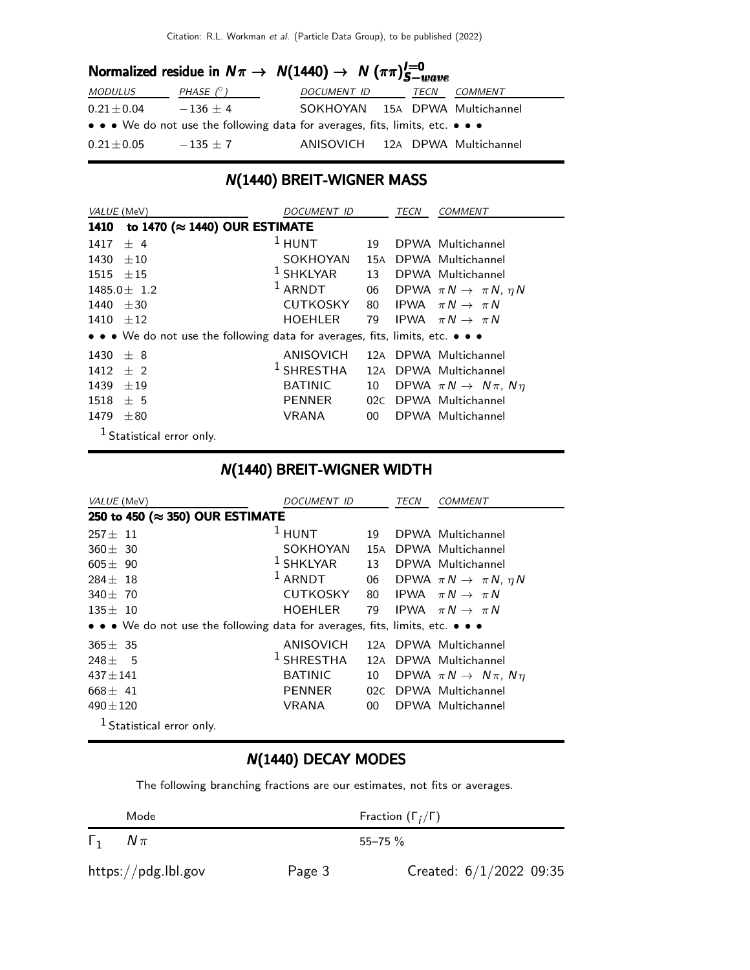| Normalized residue in $N\pi \to N(1440) \to N(\pi\pi)^{l=0}_{S-wave}$ |                  |                                                                               |             |         |  |  |  |
|-----------------------------------------------------------------------|------------------|-------------------------------------------------------------------------------|-------------|---------|--|--|--|
| <b>MODULUS</b>                                                        | PHASE $(^\circ)$ | <i>DOCUMENT ID</i>                                                            | <b>TECN</b> | COMMENT |  |  |  |
| $0.21 \pm 0.04$                                                       | $-136 + 4$       | SOKHOYAN 15A DPWA Multichannel                                                |             |         |  |  |  |
|                                                                       |                  | • • • We do not use the following data for averages, fits, limits, etc. • • • |             |         |  |  |  |
| $0.21\pm0.05$                                                         | $-135 \pm 7$     | ANISOVICH 12A DPWA Multichannel                                               |             |         |  |  |  |

#### N(1440) BREIT-WIGNER MASS

| VALUE (MeV)      |                                                                               | DOCUMENT ID     |                 | TECN | <b>COMMENT</b>                               |
|------------------|-------------------------------------------------------------------------------|-----------------|-----------------|------|----------------------------------------------|
| 1410             | to 1470 (≈ 1440) OUR ESTIMATE                                                 |                 |                 |      |                                              |
| 1417             | ± 4                                                                           | $1$ HUNT        | 19              |      | DPWA Multichannel                            |
| 1430             | $+10$                                                                         | SOKHOYAN        | 15A             |      | DPWA Multichannel                            |
| $1515 \pm 15$    |                                                                               | $1$ SHKLYAR     | 13              |      | DPWA Multichannel                            |
| $1485.0 \pm 1.2$ |                                                                               | $1$ ARNDT       |                 |      | 06 DPWA $\pi N \rightarrow \pi N$ , $\eta N$ |
| 1440 $\pm 30$    |                                                                               | <b>CUTKOSKY</b> |                 |      | 80 IPWA $\pi N \rightarrow \pi N$            |
| $1410 + 12$      |                                                                               | <b>HOEHLER</b>  | 79              |      | IPWA $\pi N \rightarrow \pi N$               |
|                  | • • • We do not use the following data for averages, fits, limits, etc. • • • |                 |                 |      |                                              |
| 1430 $\pm$ 8     |                                                                               | ANISOVICH       | 12A             |      | DPWA Multichannel                            |
| $1412 \pm 2$     |                                                                               | $1$ SHRESTHA    | 12A             |      | DPWA Multichannel                            |
| 1439             | $+19$                                                                         | <b>BATINIC</b>  | 10              |      | DPWA $\pi N \rightarrow N \pi$ , $N \eta$    |
| 1518             | ± 5                                                                           | <b>PENNER</b>   | 02C             |      | DPWA Multichannel                            |
| 1479             | $\pm 80$                                                                      | <b>VRANA</b>    | 00 <sup>1</sup> |      | DPWA Multichannel                            |
|                  | $1$ Statistical error only.                                                   |                 |                 |      |                                              |

## N(1440) BREIT-WIGNER WIDTH

| <i>VALUE</i> (MeV)                                                            | <i>DOCUMENT ID</i> |                 | TECN | <b>COMMENT</b>                            |
|-------------------------------------------------------------------------------|--------------------|-----------------|------|-------------------------------------------|
| 250 to 450 (≈ 350) OUR ESTIMATE                                               |                    |                 |      |                                           |
| $257 \pm 11$                                                                  | $1$ HUNT           | 19              |      | DPWA Multichannel                         |
| $360 \pm 30$                                                                  | SOKHOYAN           | 15A             |      | DPWA Multichannel                         |
| $605 + 90$                                                                    | $1$ SHKLYAR        | 13              |      | DPWA Multichannel                         |
| $284 + 18$                                                                    | $1$ ARNDT          | 06              |      | DPWA $\pi N \rightarrow \pi N$ , $\eta N$ |
| 340 $\pm$ 70                                                                  | <b>CUTKOSKY</b>    |                 |      | 80 IPWA $\pi N \rightarrow \pi N$         |
| $135 + 10$                                                                    | <b>HOEHLER</b>     | 79              |      | IPWA $\pi N \rightarrow \pi N$            |
| • • • We do not use the following data for averages, fits, limits, etc. • • • |                    |                 |      |                                           |
| $365 \pm 35$                                                                  | ANISOVICH          | 12A             |      | DPWA Multichannel                         |
| $248 + 5$                                                                     | $1$ SHRESTHA       | 12A             |      | DPWA Multichannel                         |
| $437 \pm 141$                                                                 | <b>BATINIC</b>     | 10              |      | DPWA $\pi N \rightarrow N \pi$ , $N \eta$ |
| $668 \pm 41$                                                                  | <b>PENNER</b>      | 02C             |      | DPWA Multichannel                         |
| $490 \pm 120$                                                                 | VRANA              | 00 <sup>1</sup> |      | DPWA Multichannel                         |
| <sup>1</sup> Statistical error only.                                          |                    |                 |      |                                           |

## N(1440) DECAY MODES

The following branching fractions are our estimates, not fits or averages.

|              | Mode                |        | Fraction $(\Gamma_i/\Gamma)$ |
|--------------|---------------------|--------|------------------------------|
| $I_1$ $N\pi$ |                     |        | $55 - 75$ %                  |
|              | https://pdg.lbl.gov | Page 3 | Created: $6/1/2022$ 09:35    |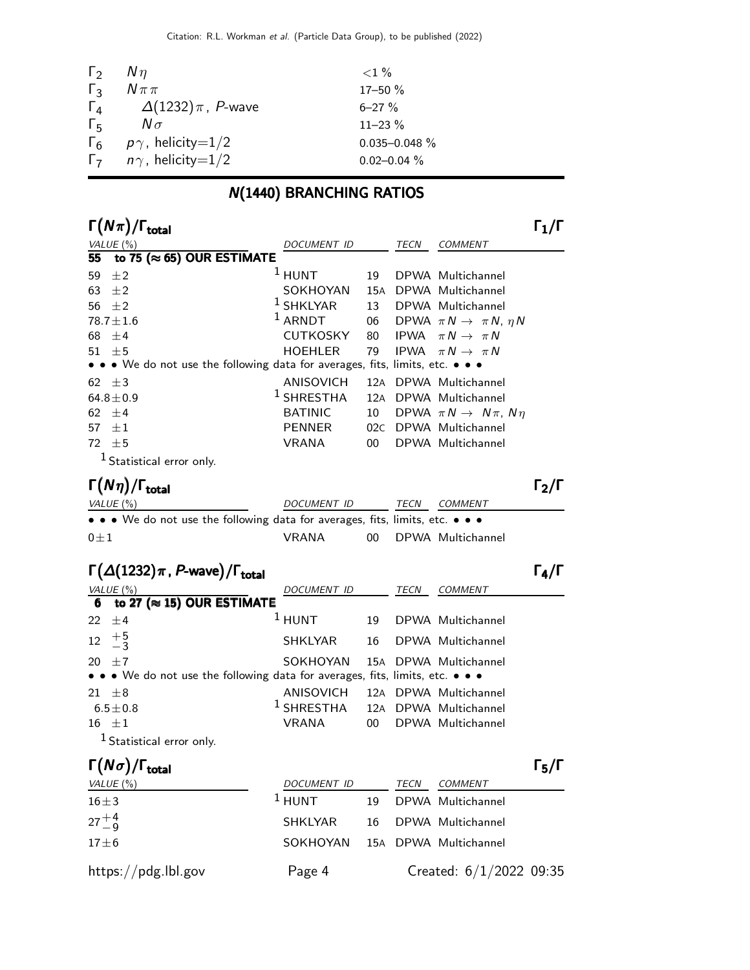| 17-50 %           |
|-------------------|
|                   |
| $11 - 23 \%$      |
| $0.035 - 0.048$ % |
| $0.02 - 0.04 \%$  |
|                   |

## N(1440) BRANCHING RATIOS

| $\Gamma(N\pi)/$<br><sup>I</sup> total    |                                                                               |     |      |                                           |  |
|------------------------------------------|-------------------------------------------------------------------------------|-----|------|-------------------------------------------|--|
| VALUE $(\%)$                             | DOCUMENT ID                                                                   |     | TECN | <b>COMMENT</b>                            |  |
| to 75 ( $\approx$ 65) OUR ESTIMATE<br>55 |                                                                               |     |      |                                           |  |
| 59<br>±2                                 | $1$ HUNT                                                                      | 19  |      | DPWA Multichannel                         |  |
| 63 $\pm 2$                               | SOKHOYAN                                                                      |     |      | 15A DPWA Multichannel                     |  |
| 56 $\pm 2$                               | $^1$ SHKLYAR                                                                  | 13  |      | DPWA Multichannel                         |  |
| $78.7 \pm 1.6$                           | $1$ ARNDT                                                                     | 06  |      | DPWA $\pi N \rightarrow \pi N$ , $\eta N$ |  |
| 68 $\pm 4$                               | <b>CUTKOSKY</b>                                                               | 80  |      | IPWA $\pi N \rightarrow \pi N$            |  |
| $51 + 5$                                 | HOEHLER                                                                       | 79  |      | IPWA $\pi N \rightarrow \pi N$            |  |
|                                          | • • • We do not use the following data for averages, fits, limits, etc. • • • |     |      |                                           |  |
| 62 $\pm 3$                               | ANISOVICH                                                                     |     |      | 12A DPWA Multichannel                     |  |
| $64.8 \pm 0.9$                           | $1$ SHRESTHA                                                                  |     |      | 12A DPWA Multichannel                     |  |
| $62 + 4$                                 | <b>BATINIC</b>                                                                | 10  |      | DPWA $\pi N \rightarrow N \pi$ , $N \eta$ |  |
| $\pm 1$<br>57                            | <b>PENNER</b>                                                                 | 02C |      | DPWA Multichannel                         |  |
| 72 $\pm$ 5                               | <b>VRANA</b>                                                                  | 00  |      | DPWA Multichannel                         |  |
| $1$ Statistical error only.              |                                                                               |     |      |                                           |  |

### Γ $(Nη)/\Gamma_{\text{total}}$  Γ $_2/\Gamma$

| $\frac{1}{M}$ (N $\eta$ )/I total                                             |                    |      |                      | 12/1 |
|-------------------------------------------------------------------------------|--------------------|------|----------------------|------|
| VALUE (%)                                                                     | <i>DOCUMENT ID</i> | TECN | <i>COMMENT</i>       |      |
| • • • We do not use the following data for averages, fits, limits, etc. • • • |                    |      |                      |      |
| $0+1$                                                                         | VRANA              |      | 00 DPWA Multichannel |      |

| <b>DOCUMENT ID</b> |                                      | <b>TECN</b>                      | <b>COMMENT</b> |                                                                                                                                                                                                                                                                                                                                         |
|--------------------|--------------------------------------|----------------------------------|----------------|-----------------------------------------------------------------------------------------------------------------------------------------------------------------------------------------------------------------------------------------------------------------------------------------------------------------------------------------|
|                    |                                      |                                  |                |                                                                                                                                                                                                                                                                                                                                         |
| $1$ HUNT           | 19                                   |                                  |                |                                                                                                                                                                                                                                                                                                                                         |
|                    | 16                                   |                                  |                |                                                                                                                                                                                                                                                                                                                                         |
|                    |                                      |                                  |                |                                                                                                                                                                                                                                                                                                                                         |
| VRANA              | $00-1$                               |                                  |                |                                                                                                                                                                                                                                                                                                                                         |
|                    | 6 to 27 ( $\approx$ 15) OUR ESTIMATE | SHKLYAR<br>SOKHOYAN<br>ANISOVICH |                | $\Gamma(\Delta(1232)\pi, P$ -wave)/ $\Gamma_{\text{total}}$<br>DPWA Multichannel<br>DPWA Multichannel<br>15A DPWA Multichannel<br>• • • We do not use the following data for averages, fits, limits, etc. • • •<br>12A DPWA Multichannel<br><sup>1</sup> SHRESTHA 12A DPWA Multichannel<br>DPWA Multichannel<br>$1 - \cdot \cdot \cdot$ |

<sup>1</sup> Statistical error only.

| $\Gamma(N\sigma)/\Gamma_{\rm total}$ |                                |    |      |                         | $\Gamma_5/\Gamma$ |
|--------------------------------------|--------------------------------|----|------|-------------------------|-------------------|
| VALUE (%)                            | DOCUMENT ID                    |    | TECN | COMMENT                 |                   |
| $16\pm3$                             | $1$ HUNT                       | 19 |      | DPWA Multichannel       |                   |
| $27^{+4}_{-9}$                       | SHKLYAR                        | 16 |      | DPWA Multichannel       |                   |
| $17\pm 6$                            | SOKHOYAN 15A DPWA Multichannel |    |      |                         |                   |
| https://pdg.lbl.gov                  | Page 4                         |    |      | Created: 6/1/2022 09:35 |                   |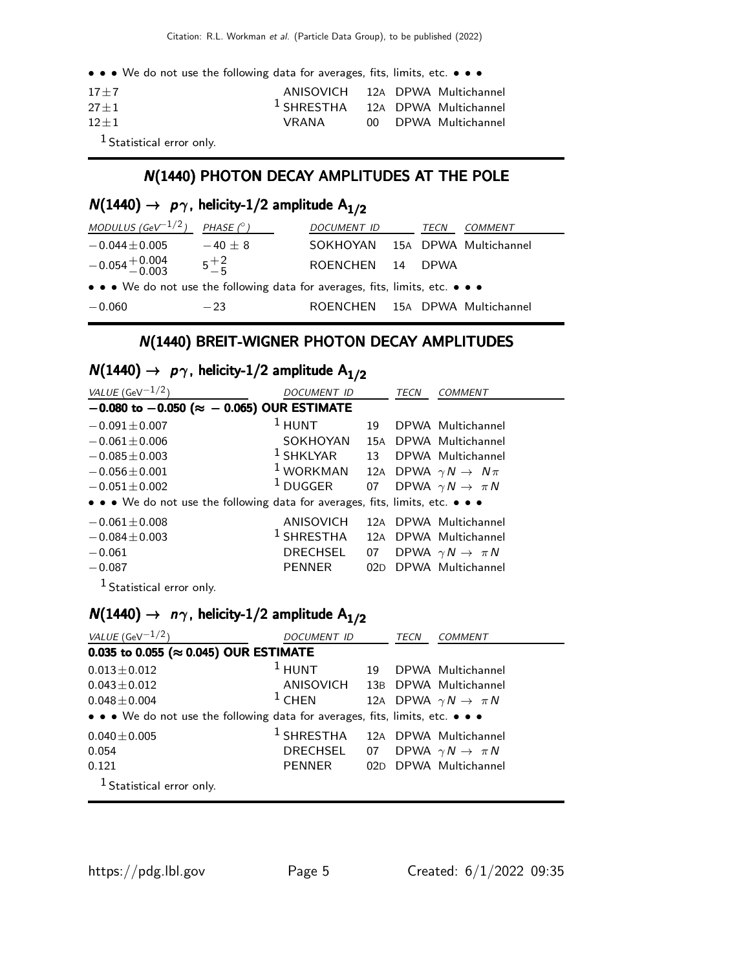• • • We do not use the following data for averages, fits, limits, etc. • • •

| $17 + 7$                                       | ANISOVICH 12A DPWA Multichannel             |  |                      |
|------------------------------------------------|---------------------------------------------|--|----------------------|
| $27 + 1$                                       | <sup>1</sup> SHRESTHA 12A DPWA Multichannel |  |                      |
| $12 + 1$                                       | VRANA                                       |  | 00 DPWA Multichannel |
| $\sim$ 1.4. $\sim$ $\sim$ $\sim$ $\sim$ $\sim$ |                                             |  |                      |

1 Statistical error only.

#### N(1440) PHOTON DECAY AMPLITUDES AT THE POLE

## $N(1440) \rightarrow p\gamma$ , helicity-1/2 amplitude  $A_{1/2}$

| MODULUS (GeV $^{-1/2}$ )                                                      | PHASE $(^\circ)$ | DOCUMENT ID                    | TECN | <i>COMMENT</i> |
|-------------------------------------------------------------------------------|------------------|--------------------------------|------|----------------|
| $-0.044 \pm 0.005$                                                            | $-40 + 8$        | SOKHOYAN 15A DPWA Multichannel |      |                |
| $-0.054^{+0.004}_{-0.003}$                                                    | $5^{+2}_{-5}$    | ROENCHEN 14 DPWA               |      |                |
| • • • We do not use the following data for averages, fits, limits, etc. • • • |                  |                                |      |                |
| $-0.060$                                                                      | $-23$            | ROENCHEN 15A DPWA Multichannel |      |                |

#### N(1440) BREIT-WIGNER PHOTON DECAY AMPLITUDES

## $N(1440) \rightarrow p\gamma$ , helicity-1/2 amplitude  $A_{1/2}$

| VALUE (GeV $^{-1/2}$ )                                                        | DOCUMENT ID           |    | TECN | <i>COMMENT</i>                        |  |  |
|-------------------------------------------------------------------------------|-----------------------|----|------|---------------------------------------|--|--|
| $-0.080$ to $-0.050$ ( $\approx -0.065$ ) OUR ESTIMATE                        |                       |    |      |                                       |  |  |
| $-0.091 \pm 0.007$                                                            | $1$ HUNT              | 19 |      | DPWA Multichannel                     |  |  |
| $-0.061 \pm 0.006$                                                            | SOKHOYAN              |    |      | 15A DPWA Multichannel                 |  |  |
| $-0.085 \pm 0.003$                                                            | $^1$ SHKLYAR          |    |      | 13 DPWA Multichannel                  |  |  |
| $-0.056 \pm 0.001$                                                            | $1$ WORKMAN           |    |      | 12A DPWA $\gamma N \rightarrow N \pi$ |  |  |
| $-0.051 \pm 0.002$                                                            | $1$ DUGGER            | 07 |      | DPWA $\gamma N \rightarrow \pi N$     |  |  |
| • • • We do not use the following data for averages, fits, limits, etc. • • • |                       |    |      |                                       |  |  |
| $-0.061 \pm 0.008$                                                            | ANISOVICH             |    |      | 12A DPWA Multichannel                 |  |  |
| $-0.084 \pm 0.003$                                                            | <sup>1</sup> SHRESTHA |    |      | 12A DPWA Multichannel                 |  |  |
| $-0.061$                                                                      | <b>DRECHSEL</b>       | 07 |      | DPWA $\gamma N \rightarrow \pi N$     |  |  |
| $-0.087$                                                                      | <b>PENNER</b>         |    |      | 02D DPWA Multichannel                 |  |  |
| <sup>1</sup> Statistical error only.                                          |                       |    |      |                                       |  |  |

## $N(1440) \rightarrow n\gamma$ , helicity-1/2 amplitude A<sub>1/2</sub>

| VALUE (GeV $^{-1/2}$ )                                                        | DOCUMENT ID                                 |    | TECN | COMMENT                               |  |  |
|-------------------------------------------------------------------------------|---------------------------------------------|----|------|---------------------------------------|--|--|
| 0.035 to 0.055 ( $\approx$ 0.045) OUR ESTIMATE                                |                                             |    |      |                                       |  |  |
| $0.013 \pm 0.012$                                                             | $1$ HUNT                                    | 19 |      | DPWA Multichannel                     |  |  |
| $0.043 \pm 0.012$                                                             | ANISOVICH 13B DPWA Multichannel             |    |      |                                       |  |  |
| $0.048 \pm 0.004$                                                             | $1$ CHEN                                    |    |      | 12A DPWA $\gamma N \rightarrow \pi N$ |  |  |
| • • • We do not use the following data for averages, fits, limits, etc. • • • |                                             |    |      |                                       |  |  |
| $0.040 \pm 0.005$                                                             | <sup>1</sup> SHRESTHA 12A DPWA Multichannel |    |      |                                       |  |  |
| 0.054                                                                         | DRECHSEL 07 DPWA $\gamma N \to \pi N$       |    |      |                                       |  |  |
| 0.121                                                                         | PENNER                                      |    |      | 02D DPWA Multichannel                 |  |  |
| <sup>1</sup> Statistical error only.                                          |                                             |    |      |                                       |  |  |